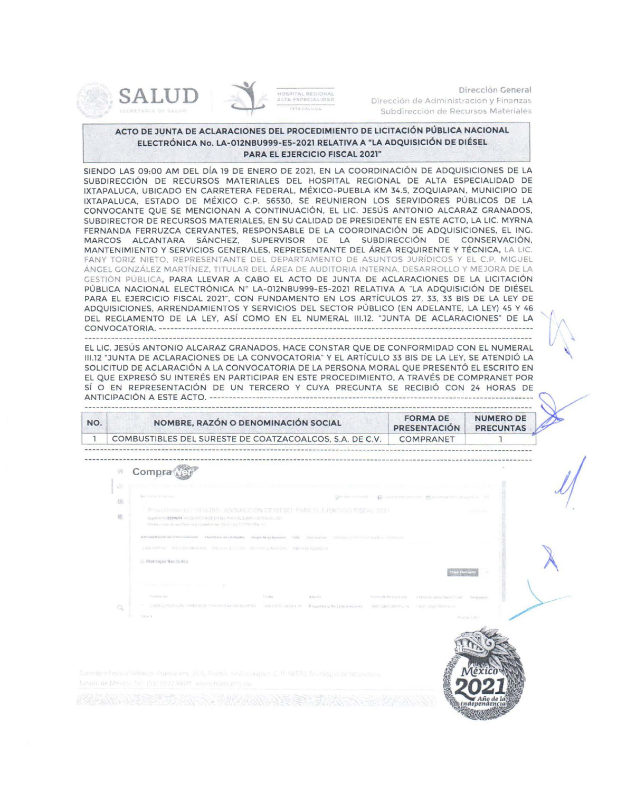





Dirección General Dirección de Administración y Finanzas Subdirección de Recursos Materiales

## ACTO DE JUNTA DE ACLARACIONES DEL PROCEDIMIENTO DE LICITACIÓN PÚBLICA NACIONAL ELECTRÓNICA No. LA-012NBU999-E5-2021 RELATIVA A "LA ADQUISICIÓN DE DIÉSEL **PARA EL EJERCICIO FISCAL 2021"**

SIENDO LAS 09:00 AM DEL DÍA 19 DE ENERO DE 2021, EN LA COORDINACIÓN DE ADQUISICIONES DE LA SUBDIRECCIÓN DE RECURSOS MATERIALES DEL HOSPITAL REGIONAL DE ALTA ESPECIALIDAD DE IXTAPALUCA, UBICADO EN CARRETERA FEDERAL, MÉXICO-PUEBLA KM 34.5, ZOQUIAPAN, MUNICIPIO DE IXTAPALUCA, ESTADO DE MÉXICO C.P. 56530, SE REUNIERON LOS SERVIDORES PÚBLICOS DE LA CONVOCANTE QUE SE MENCIONAN A CONTINUACIÓN, EL LIC. JESÚS ANTONIO ALCARAZ GRANADOS, SUBDIRECTOR DE RECURSOS MATERIALES, EN SU CALIDAD DE PRESIDENTE EN ESTE ACTO, LA LIC. MYRNA FERNANDA FERRUZCA CERVANTES, RESPONSABLE DE LA COORDINACIÓN DE ADQUISICIONES, EL ING. MARCOS ALCANTARA SÁNCHEZ, SUPERVISOR DE LA SUBDIRECCIÓN DE CONSERVACIÓN, MANTENIMIENTO Y SERVICIOS GENERALES, REPRESENTANTE DEL ÁREA REQUIRENTE Y TÉCNICA, LA LIC. FANY TORIZ NIETO, REPRESENTANTE DEL DEPARTAMENTO DE ASUNTOS JURÍDICOS Y EL C.P. MIGUEL ÁNGEL GONZÁLEZ MARTÍNEZ, TITULAR DEL ÁREA DE AUDITORIA INTERNA, DESARROLLO Y MEJORA DE LA CESTIÓN PÚBLICA, PARA LLEVAR A CABO EL ACTO DE JUNTA DE ACLARACIONES DE LA LICITACIÓN PÚBLICA NACIONAL ELECTRÓNICA Nº LA-012NBU999-E5-2021 RELATIVA A "LA ADQUISICIÓN DE DIÉSEL PARA EL EJERCICIO FISCAL 2021", CON FUNDAMENTO EN LOS ARTÍCULOS 27, 33, 33 BIS DE LA LEY DE ADQUISICIONES, ARRENDAMIENTOS Y SERVICIOS DEL SECTOR PÚBLICO (EN ADELANTE, LA LEY) 45 Y 46 DEL REGLAMENTO DE LA LEY, ASÍ COMO EN EL NUMERAL III.12. "JUNTA DE ACLARACIONES" DE LA 

EL LIC. JESÚS ANTONIO ALCARAZ GRANADOS, HACE CONSTAR QUE DE CONFORMIDAD CON EL NUMERAL III.12 "JUNTA DE ACLARACIONES DE LA CONVOCATORIA" Y EL ARTÍCULO 33 BIS DE LA LEY, SE ATENDIÓ LA SOLICITUD DE ACLARACIÓN A LA CONVOCATORIA DE LA PERSONA MORAL QUE PRESENTÓ EL ESCRITO EN EL QUE EXPRESÓ SU INTERÉS EN PARTICIPAR EN ESTE PROCEDIMIENTO. A TRAVÉS DE COMPRANET POR SÍ O EN REPRESENTACIÓN DE UN TERCERO Y CUYA PREGUNTA SE RECIBIÓ CON 24 HORAS DE 

| NO. | NOMBRE, RAZÓN O DENOMINACIÓN SOCIAL                     | <b>FORMA DE</b><br><b>PRESENTACIÓN</b> | <b>NUMERO DE</b><br><b>PRECUNTAS</b> |
|-----|---------------------------------------------------------|----------------------------------------|--------------------------------------|
|     | COMBUSTIBLES DEL SURESTE DE COATZACOALCOS, S.A. DE C.V. | <b>COMPRANET</b>                       |                                      |

Compra  $\alpha$ SECTIONS RESERVED STRUCTURES 355 业 ENF2209093. A GLICK INVOLUTILL ROOM IN EXPLOSIVITY THE STR Monsales Recibides Calaireil Plausities with this instrume.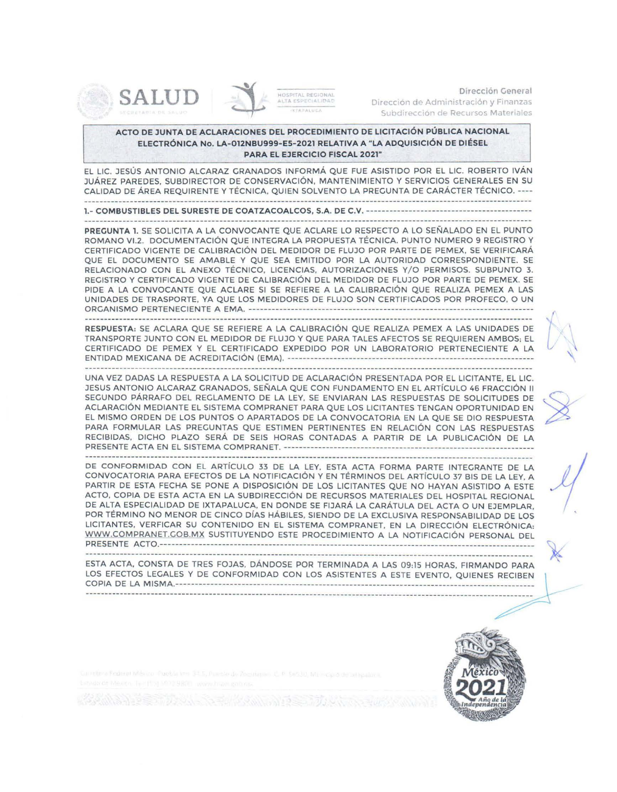





Dirección General Dirección de Administración y Finanzas Subdirección de Recursos Materiales

## ACTO DE JUNTA DE ACLARACIONES DEL PROCEDIMIENTO DE LICITACIÓN PÚBLICA NACIONAL ELECTRÓNICA No. LA-012NBU999-E5-2021 RELATIVA A "LA ADQUISICIÓN DE DIÉSEL **PARA EL EJERCICIO FISCAL 2021"**

EL LIC. JESÚS ANTONIO ALCARAZ GRANADOS INFORMÁ QUE FUE ASISTIDO POR EL LIC. ROBERTO IVÁN JUÁREZ PAREDES, SUBDIRECTOR DE CONSERVACIÓN, MANTENIMIENTO Y SERVICIOS GENERALES EN SU CALIDAD DE ÁREA REQUIRENTE Y TÉCNICA, QUIEN SOLVENTO LA PREGUNTA DE CARÁCTER TÉCNICO, ----

PREGUNTA 1. SE SOLICITA A LA CONVOCANTE QUE ACLARE LO RESPECTO A LO SEÑALADO EN EL PUNTO ROMANO VI.2. DOCUMENTACIÓN QUE INTEGRA LA PROPUESTA TÉCNICA, PUNTO NUMERO 9 REGISTRO Y CERTIFICADO VIGENTE DE CALIBRACIÓN DEL MEDIDOR DE FLUJO POR PARTE DE PEMEX, SE VERIFICARÁ QUE EL DOCUMENTO SE AMABLE Y QUE SEA EMITIDO POR LA AUTORIDAD CORRESPONDIENTE. SE RELACIONADO CON EL ANEXO TÉCNICO, LICENCIAS, AUTORIZACIONES Y/O PERMISOS. SUBPUNTO 3. REGISTRO Y CERTIFICADO VIGENTE DE CALIBRACIÓN DEL MEDIDOR DE FLUJO POR PARTE DE PEMEX. SE PIDE A LA CONVOCANTE QUE ACLARE SI SE REFIERE A LA CALIBRACIÓN QUE REALIZA PEMEX A LAS UNIDADES DE TRASPORTE, YA QUE LOS MEDIDORES DE FLUJO SON CERTIFICADOS POR PROFECO, O UN 

RESPUESTA: SE ACLARA QUE SE REFIERE A LA CALIBRACIÓN QUE REALIZA PEMEX A LAS UNIDADES DE TRANSPORTE JUNTO CON EL MEDIDOR DE FLUJO Y QUE PARA TALES AFECTOS SE REQUIEREN AMBOS; EL CERTIFICADO DE PEMEX Y EL CERTIFICADO EXPEDIDO POR UN LABORATORIO PERTENECIENTE A LA 

UNA VEZ DADAS LA RESPUESTA A LA SOLICITUD DE ACLARACIÓN PRESENTADA POR EL LICITANTE. EL LIC. JESUS ANTONIO ALCARAZ GRANADOS, SEÑALA QUE CON FUNDAMENTO EN EL ARTÍCULO 46 FRACCIÓN II SEGUNDO PÁRRAFO DEL REGLAMENTO DE LA LEY, SE ENVIARAN LAS RESPUESTAS DE SOLICITUDES DE ACLARACIÓN MEDIANTE EL SISTEMA COMPRANET PARA QUE LOS LICITANTES TENGAN OPORTUNIDAD EN EL MISMO ORDEN DE LOS PUNTOS O APARTADOS DE LA CONVOCATORIA EN LA QUE SE DIO RESPUESTA PARA FORMULAR LAS PREGUNTAS QUE ESTIMEN PERTINENTES EN RELACIÓN CON LAS RESPUESTAS RECIBIDAS, DICHO PLAZO SERÁ DE SEIS HORAS CONTADAS A PARTIR DE LA PUBLICACIÓN DE LA 

DE CONFORMIDAD CON EL ARTÍCULO 33 DE LA LEY, ESTA ACTA FORMA PARTE INTEGRANTE DE LA CONVOCATORIA PARA EFECTOS DE LA NOTIFICACIÓN Y EN TÉRMINOS DEL ARTÍCULO 37 BIS DE LA LEY. A PARTIR DE ESTA FECHA SE PONE A DISPOSICIÓN DE LOS LICITANTES QUE NO HAYAN ASISTIDO A ESTE ACTO, COPIA DE ESTA ACTA EN LA SUBDIRECCIÓN DE RECURSOS MATERIALES DEL HOSPITAL REGIONAL DE ALTA ESPECIALIDAD DE IXTAPALUCA, EN DONDE SE FIJARÁ LA CARÁTULA DEL ACTA O UN EJEMPLAR. POR TÉRMINO NO MENOR DE CINCO DÍAS HÁBILES, SIENDO DE LA EXCLUSIVA RESPONSABILIDAD DE LOS LICITANTES, VERFICAR SU CONTENIDO EN EL SISTEMA COMPRANET, EN LA DIRECCIÓN ELECTRÓNICA: WWW.COMPRANET.COB.MX SUSTITUYENDO ESTE PROCEDIMIENTO A LA NOTIFICACIÓN PERSONAL DEL 

ESTA ACTA, CONSTA DE TRES FOJAS, DÁNDOSE POR TERMINADA A LAS 09:15 HORAS, FIRMANDO PARA LOS EFECTOS LEGALES Y DE CONFORMIDAD CON LOS ASISTENTES A ESTE EVENTO, QUIENES RECIBEN